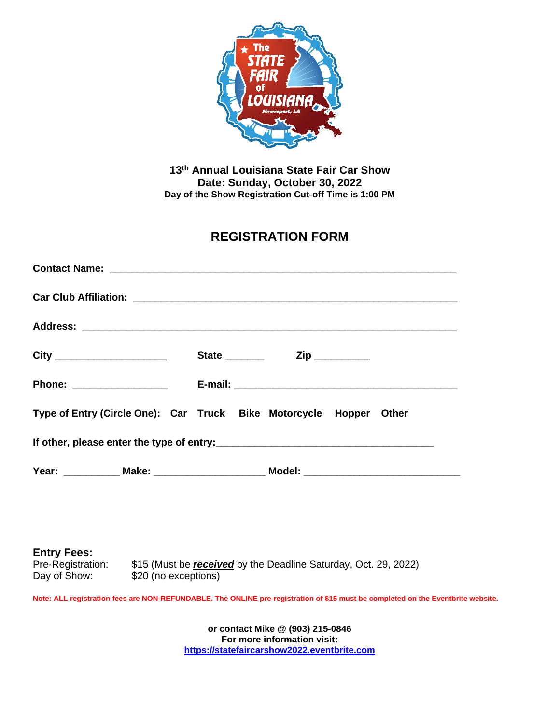

**13th Annual Louisiana State Fair Car Show Date: Sunday, October 30, 2022 Day of the Show Registration Cut-off Time is 1:00 PM**

## **REGISTRATION FORM**

|                                                                    | State _______ |  | Zip __________ |  |
|--------------------------------------------------------------------|---------------|--|----------------|--|
| Phone: __________________                                          |               |  |                |  |
| Type of Entry (Circle One): Car Truck Bike Motorcycle Hopper Other |               |  |                |  |
|                                                                    |               |  |                |  |
|                                                                    |               |  |                |  |

**Entry Fees:**<br>Pre-Registration: Pre-Registration: \$15 (Must be *received* by the Deadline Saturday, Oct. 29, 2022)<br>Day of Show: \$20 (no exceptions) \$20 (no exceptions)

**Note: ALL registration fees are NON-REFUNDABLE. The ONLINE pre-registration of \$15 must be completed on the Eventbrite website.**

**or contact Mike @ (903) 215-0846 For more information visit: [https://statefaircarshow2022.eventbrite.com](https://statefaircarshow2022.eventbrite.com/)**